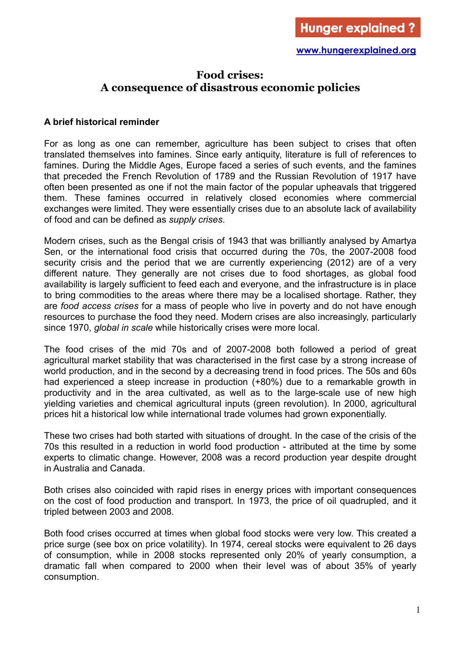## **Food crises: A consequence of disastrous economic policies**

### **A brief historical reminder**

For as long as one can remember, agriculture has been subject to crises that often translated themselves into famines. Since early antiquity, literature is full of references to famines. During the Middle Ages, Europe faced a series of such events, and the famines that preceded the French Revolution of 1789 and the Russian Revolution of 1917 have often been presented as one if not the main factor of the popular upheavals that triggered them. These famines occurred in relatively closed economies where commercial exchanges were limited. They were essentially crises due to an absolute lack of availability of food and can be defined as *supply crises*.

Modern crises, such as the Bengal crisis of 1943 that was brilliantly analysed by Amartya Sen, or the international food crisis that occurred during the 70s, the 2007-2008 food security crisis and the period that we are currently experiencing (2012) are of a very different nature. They generally are not crises due to food shortages, as global food availability is largely sufficient to feed each and everyone, and the infrastructure is in place to bring commodities to the areas where there may be a localised shortage. Rather, they are *food access crises* for a mass of people who live in poverty and do not have enough resources to purchase the food they need. Modern crises are also increasingly, particularly since 1970, *global in scale* while historically crises were more local.

The food crises of the mid 70s and of 2007-2008 both followed a period of great agricultural market stability that was characterised in the first case by a strong increase of world production, and in the second by a decreasing trend in food prices. The 50s and 60s had experienced a steep increase in production (+80%) due to a remarkable growth in productivity and in the area cultivated, as well as to the large-scale use of new high yielding varieties and chemical agricultural inputs (green revolution). In 2000, agricultural prices hit a historical low while international trade volumes had grown exponentially.

These two crises had both started with situations of drought. In the case of the crisis of the 70s this resulted in a reduction in world food production - attributed at the time by some experts to climatic change. However, 2008 was a record production year despite drought in Australia and Canada.

Both crises also coincided with rapid rises in energy prices with important consequences on the cost of food production and transport. In 1973, the price of oil quadrupled, and it tripled between 2003 and 2008.

Both food crises occurred at times when global food stocks were very low. This created a price surge (see box on price volatility). In 1974, cereal stocks were equivalent to 26 days of consumption, while in 2008 stocks represented only 20% of yearly consumption, a dramatic fall when compared to 2000 when their level was of about 35% of yearly consumption.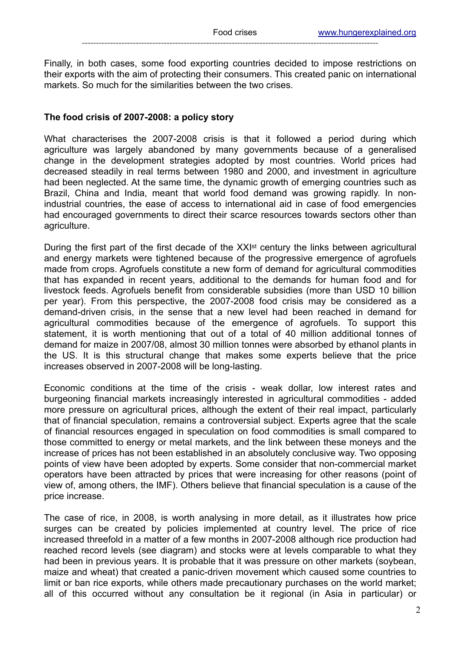Finally, in both cases, some food exporting countries decided to impose restrictions on their exports with the aim of protecting their consumers. This created panic on international markets. So much for the similarities between the two crises.

### **The food crisis of 2007-2008: a policy story**

What characterises the 2007-2008 crisis is that it followed a period during which agriculture was largely abandoned by many governments because of a generalised change in the development strategies adopted by most countries. World prices had decreased steadily in real terms between 1980 and 2000, and investment in agriculture had been neglected. At the same time, the dynamic growth of emerging countries such as Brazil, China and India, meant that world food demand was growing rapidly. In nonindustrial countries, the ease of access to international aid in case of food emergencies had encouraged governments to direct their scarce resources towards sectors other than agriculture.

During the first part of the first decade of the XXI<sup>st</sup> century the links between agricultural and energy markets were tightened because of the progressive emergence of agrofuels made from crops. Agrofuels constitute a new form of demand for agricultural commodities that has expanded in recent years, additional to the demands for human food and for livestock feeds. Agrofuels benefit from considerable subsidies (more than USD 10 billion per year). From this perspective, the 2007-2008 food crisis may be considered as a demand-driven crisis, in the sense that a new level had been reached in demand for agricultural commodities because of the emergence of agrofuels. To support this statement, it is worth mentioning that out of a total of 40 million additional tonnes of demand for maize in 2007/08, almost 30 million tonnes were absorbed by ethanol plants in the US. It is this structural change that makes some experts believe that the price increases observed in 2007-2008 will be long-lasting.

Economic conditions at the time of the crisis - weak dollar, low interest rates and burgeoning financial markets increasingly interested in agricultural commodities - added more pressure on agricultural prices, although the extent of their real impact, particularly that of financial speculation, remains a controversial subject. Experts agree that the scale of financial resources engaged in speculation on food commodities is small compared to those committed to energy or metal markets, and the link between these moneys and the increase of prices has not been established in an absolutely conclusive way. Two opposing points of view have been adopted by experts. Some consider that non-commercial market operators have been attracted by prices that were increasing for other reasons (point of view of, among others, the IMF). Others believe that financial speculation is a cause of the price increase.

The case of rice, in 2008, is worth analysing in more detail, as it illustrates how price surges can be created by policies implemented at country level. The price of rice increased threefold in a matter of a few months in 2007-2008 although rice production had reached record levels (see diagram) and stocks were at levels comparable to what they had been in previous years. It is probable that it was pressure on other markets (soybean, maize and wheat) that created a panic-driven movement which caused some countries to limit or ban rice exports, while others made precautionary purchases on the world market; all of this occurred without any consultation be it regional (in Asia in particular) or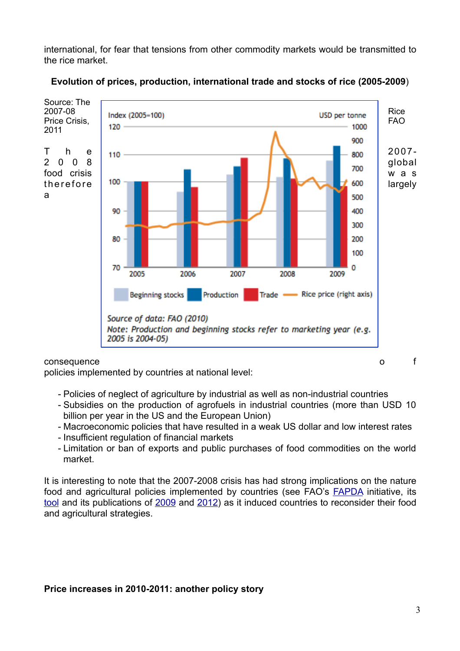international, for fear that tensions from other commodity markets would be transmitted to the rice market.



### **Evolution of prices, production, international trade and stocks of rice (2005-2009**)

policies implemented by countries at national level:

- Policies of neglect of agriculture by industrial as well as non-industrial countries
- Subsidies on the production of agrofuels in industrial countries (more than USD 10 billion per year in the US and the European Union)
- Macroeconomic policies that have resulted in a weak US dollar and low interest rates
- Insufficient regulation of financial markets
- Limitation or ban of exports and public purchases of food commodities on the world market.

It is interesting to note that the 2007-2008 crisis has had strong implications on the nature food and agricultural policies implemented by countries (see FAO's [FAPDA](http://www.fao.org/economic/fapda/en/) initiative, its [tool](http://www.fao.org/tc/fapda-tool/Main.html) and its publications of [2009](http://www.fao.org/fileadmin/user_upload/ISFP/pdf_for_site_Country_Response_to_the_Food_Security.pdf) and [2012\)](http://www.fao.org/fileadmin/user_upload/tcas/publications/food_and_agric_policy_trends_afer-2008.pdf) as it induced countries to reconsider their food and agricultural strategies.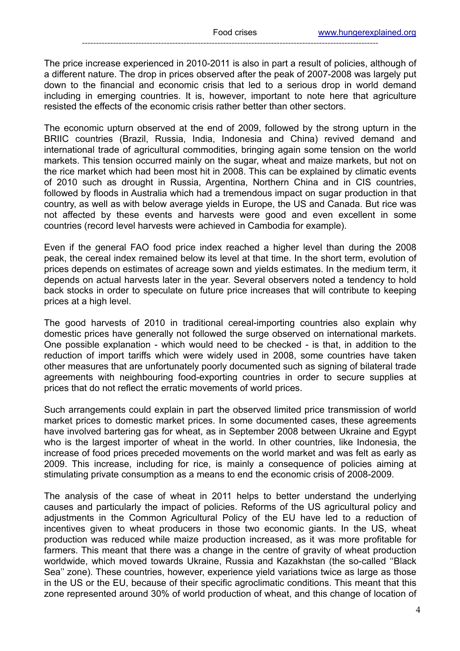The price increase experienced in 2010-2011 is also in part a result of policies, although of a different nature. The drop in prices observed after the peak of 2007-2008 was largely put down to the financial and economic crisis that led to a serious drop in world demand including in emerging countries. It is, however, important to note here that agriculture resisted the effects of the economic crisis rather better than other sectors.

The economic upturn observed at the end of 2009, followed by the strong upturn in the BRIIC countries (Brazil, Russia, India, Indonesia and China) revived demand and international trade of agricultural commodities, bringing again some tension on the world markets. This tension occurred mainly on the sugar, wheat and maize markets, but not on the rice market which had been most hit in 2008. This can be explained by climatic events of 2010 such as drought in Russia, Argentina, Northern China and in CIS countries, followed by floods in Australia which had a tremendous impact on sugar production in that country, as well as with below average yields in Europe, the US and Canada. But rice was not affected by these events and harvests were good and even excellent in some countries (record level harvests were achieved in Cambodia for example).

Even if the general FAO food price index reached a higher level than during the 2008 peak, the cereal index remained below its level at that time. In the short term, evolution of prices depends on estimates of acreage sown and yields estimates. In the medium term, it depends on actual harvests later in the year. Several observers noted a tendency to hold back stocks in order to speculate on future price increases that will contribute to keeping prices at a high level.

The good harvests of 2010 in traditional cereal-importing countries also explain why domestic prices have generally not followed the surge observed on international markets. One possible explanation - which would need to be checked - is that, in addition to the reduction of import tariffs which were widely used in 2008, some countries have taken other measures that are unfortunately poorly documented such as signing of bilateral trade agreements with neighbouring food-exporting countries in order to secure supplies at prices that do not reflect the erratic movements of world prices.

Such arrangements could explain in part the observed limited price transmission of world market prices to domestic market prices. In some documented cases, these agreements have involved bartering gas for wheat, as in September 2008 between Ukraine and Egypt who is the largest importer of wheat in the world. In other countries, like Indonesia, the increase of food prices preceded movements on the world market and was felt as early as 2009. This increase, including for rice, is mainly a consequence of policies aiming at stimulating private consumption as a means to end the economic crisis of 2008-2009.

The analysis of the case of wheat in 2011 helps to better understand the underlying causes and particularly the impact of policies. Reforms of the US agricultural policy and adjustments in the Common Agricultural Policy of the EU have led to a reduction of incentives given to wheat producers in those two economic giants. In the US, wheat production was reduced while maize production increased, as it was more profitable for farmers. This meant that there was a change in the centre of gravity of wheat production worldwide, which moved towards Ukraine, Russia and Kazakhstan (the so-called ''Black Sea'' zone). These countries, however, experience yield variations twice as large as those in the US or the EU, because of their specific agroclimatic conditions. This meant that this zone represented around 30% of world production of wheat, and this change of location of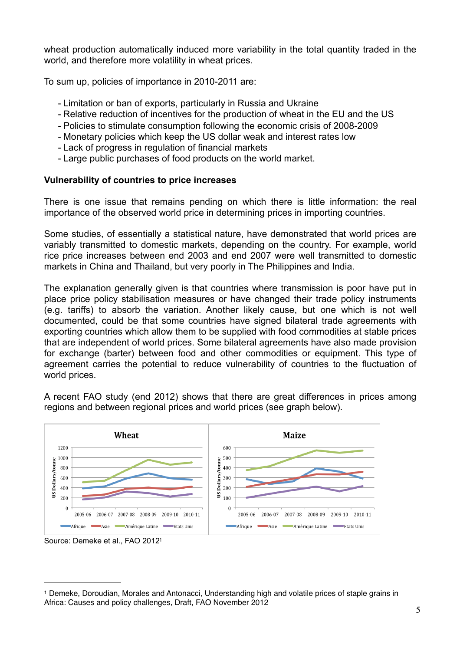wheat production automatically induced more variability in the total quantity traded in the world, and therefore more volatility in wheat prices.

To sum up, policies of importance in 2010-2011 are:

- Limitation or ban of exports, particularly in Russia and Ukraine
- Relative reduction of incentives for the production of wheat in the EU and the US
- Policies to stimulate consumption following the economic crisis of 2008-2009
- Monetary policies which keep the US dollar weak and interest rates low
- Lack of progress in regulation of financial markets
- Large public purchases of food products on the world market.

### **Vulnerability of countries to price increases**

There is one issue that remains pending on which there is little information: the real importance of the observed world price in determining prices in importing countries.

Some studies, of essentially a statistical nature, have demonstrated that world prices are variably transmitted to domestic markets, depending on the country. For example, world rice price increases between end 2003 and end 2007 were well transmitted to domestic markets in China and Thailand, but very poorly in The Philippines and India.

The explanation generally given is that countries where transmission is poor have put in place price policy stabilisation measures or have changed their trade policy instruments (e.g. tariffs) to absorb the variation. Another likely cause, but one which is not well documented, could be that some countries have signed bilateral trade agreements with exporting countries which allow them to be supplied with food commodities at stable prices that are independent of world prices. Some bilateral agreements have also made provision for exchange (barter) between food and other commodities or equipment. This type of agreement carries the potential to reduce vulnerability of countries to the fluctuation of world prices.

A recent FAO study (end 2012) shows that there are great differences in prices among regions and between regional prices and world prices (see graph below).



<span id="page-4-1"></span>Source: Demeke et al., FAO 201[21](#page-4-0)

<span id="page-4-0"></span>Demeke, Doroudian, Morales and Antonacci, Understanding high and volatile prices of staple grains in [1](#page-4-1) Africa: Causes and policy challenges, Draft, FAO November 2012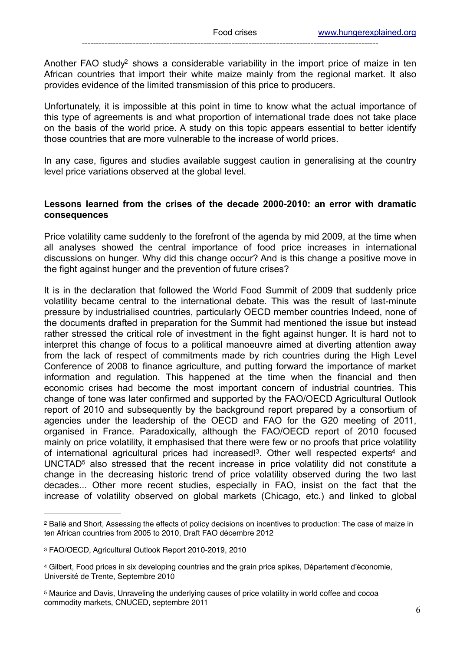<span id="page-5-4"></span>Another FAO stud[y](#page-5-0)<sup>[2](#page-5-0)</sup> shows a considerable variability in the import price of maize in ten African countries that import their white maize mainly from the regional market. It also provides evidence of the limited transmission of this price to producers.

Unfortunately, it is impossible at this point in time to know what the actual importance of this type of agreements is and what proportion of international trade does not take place on the basis of the world price. A study on this topic appears essential to better identify those countries that are more vulnerable to the increase of world prices.

In any case, figures and studies available suggest caution in generalising at the country level price variations observed at the global level.

### **Lessons learned from the crises of the decade 2000-2010: an error with dramatic consequences**

Price volatility came suddenly to the forefront of the agenda by mid 2009, at the time when all analyses showed the central importance of food price increases in international discussions on hunger. Why did this change occur? And is this change a positive move in the fight against hunger and the prevention of future crises?

It is in the declaration that followed the World Food Summit of 2009 that suddenly price volatility became central to the international debate. This was the result of last-minute pressure by industrialised countries, particularly OECD member countries Indeed, none of the documents drafted in preparation for the Summit had mentioned the issue but instead rather stressed the critical role of investment in the fight against hunger. It is hard not to interpret this change of focus to a political manoeuvre aimed at diverting attention away from the lack of respect of commitments made by rich countries during the High Level Conference of 2008 to finance agriculture, and putting forward the importance of market information and regulation. This happened at the time when the financial and then economic crises had become the most important concern of industrial countries. This change of tone was later confirmed and supported by the FAO/OECD Agricultural Outlook report of 2010 and subsequently by the background report prepared by a consortium of agencies under the leadership of the OECD and FAO for the G20 meeting of 2011, organised in France. Paradoxically, although the FAO/OECD report of 2010 focused mainly on price volatility, it emphasised that there were few or no proofs that price volatility of international agricultural price[s](#page-5-2) had increased!<sup>[3](#page-5-1)</sup>. Other well respected experts<sup>4</sup> and UNCTA[D](#page-5-3)<sup>[5](#page-5-3)</sup> also stressed that the recent increase in price volatility did not constitute a change in the decreasing historic trend of price volatility observed during the two last decades... Other more recent studies, especially in FAO, insist on the fact that the increase of volatility observed on global markets (Chicago, etc.) and linked to global

<span id="page-5-7"></span><span id="page-5-6"></span><span id="page-5-5"></span><span id="page-5-0"></span><sup>&</sup>lt;sup>[2](#page-5-4)</sup> Balié and Short, Assessing the effects of policy decisions on incentives to production: The case of maize in ten African countries from 2005 to 2010, Draft FAO décembre 2012

<span id="page-5-1"></span>[<sup>3</sup>](#page-5-5) FAO/OECD, Agricultural Outlook Report 2010-2019, 2010

<span id="page-5-2"></span>Gilbert, Food prices in six developing countries and the grain price spikes, Département d'économie, [4](#page-5-6) Université de Trente, Septembre 2010

<span id="page-5-3"></span><sup>&</sup>lt;sup>[5](#page-5-7)</sup> Maurice and Davis, Unraveling the underlying causes of price volatility in world coffee and cocoa commodity markets, CNUCED, septembre 2011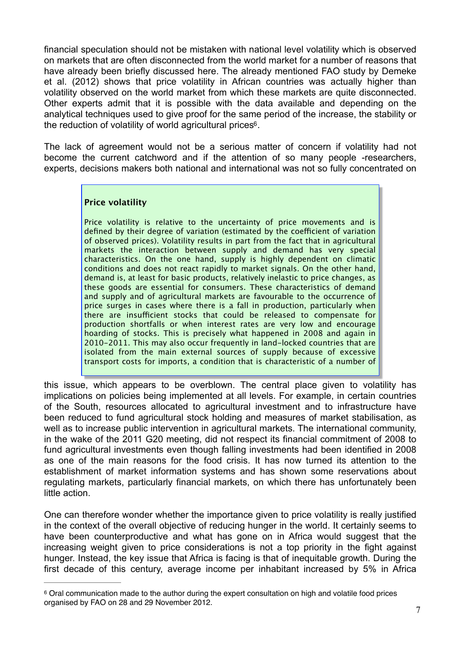financial speculation should not be mistaken with national level volatility which is observed on markets that are often disconnected from the world market for a number of reasons that have already been briefly discussed here. The already mentioned FAO study by Demeke et al. (2012) shows that price volatility in African countries was actually higher than volatility observed on the world market from which these markets are quite disconnected. Other experts admit that it is possible with the data available and depending on the analytical techniques used to give proof for the same period of the increase, the stability or the reduction of volatility of world agricultural prices<sup>6</sup>[.](#page-6-0)

The lack of agreement would not be a serious matter of concern if volatility had not become the current catchword and if the attention of so many people -researchers, experts, decisions makers both national and international was not so fully concentrated on

### <span id="page-6-1"></span>**Price volatility**

Price volatility is relative to the uncertainty of price movements and is defined by their degree of variation (estimated by the coefficient of variation of observed prices). Volatility results in part from the fact that in agricultural markets the interaction between supply and demand has very special characteristics. On the one hand, supply is highly dependent on climatic conditions and does not react rapidly to market signals. On the other hand, demand is, at least for basic products, relatively inelastic to price changes, as these goods are essential for consumers. These characteristics of demand and supply and of agricultural markets are favourable to the occurrence of price surges in cases where there is a fall in production, particularly when there are insufficient stocks that could be released to compensate for production shortfalls or when interest rates are very low and encourage hoarding of stocks. This is precisely what happened in 2008 and again in 2010-2011. This may also occur frequently in land-locked countries that are isolated from the main external sources of supply because of excessive transport costs for imports, a condition that is characteristic of a number of

this issue, which appears to be overblown. The central place given to volatility has implications on policies being implemented at all levels. For example, in certain countries of the South, resources allocated to agricultural investment and to infrastructure have been reduced to fund agricultural stock holding and measures of market stabilisation, as well as to increase public intervention in agricultural markets. The international community, in the wake of the 2011 G20 meeting, did not respect its financial commitment of 2008 to fund agricultural investments even though falling investments had been identified in 2008 as one of the main reasons for the food crisis. It has now turned its attention to the establishment of market information systems and has shown some reservations about regulating markets, particularly financial markets, on which there has unfortunately been little action.

One can therefore wonder whether the importance given to price volatility is really justified in the context of the overall objective of reducing hunger in the world. It certainly seems to have been counterproductive and what has gone on in Africa would suggest that the increasing weight given to price considerations is not a top priority in the fight against hunger. Instead, the key issue that Africa is facing is that of inequitable growth. During the first decade of this century, average income per inhabitant increased by 5% in Africa

<span id="page-6-0"></span>Oral communication made to the author during the expert consultation on high and volatile food prices [6](#page-6-1) organised by FAO on 28 and 29 November 2012.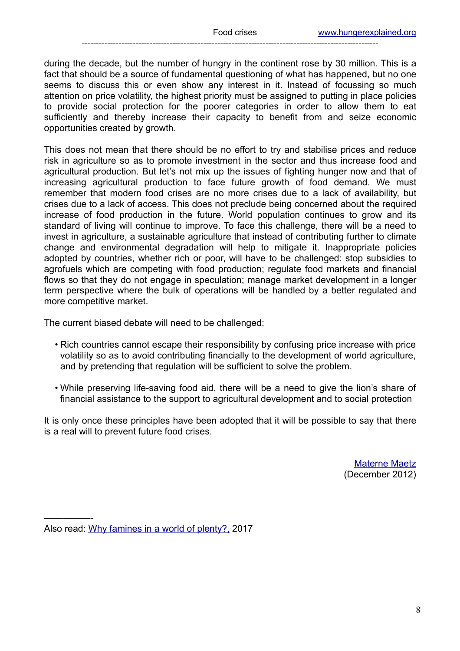during the decade, but the number of hungry in the continent rose by 30 million. This is a fact that should be a source of fundamental questioning of what has happened, but no one seems to discuss this or even show any interest in it. Instead of focussing so much attention on price volatility, the highest priority must be assigned to putting in place policies to provide social protection for the poorer categories in order to allow them to eat sufficiently and thereby increase their capacity to benefit from and seize economic opportunities created by growth.

This does not mean that there should be no effort to try and stabilise prices and reduce risk in agriculture so as to promote investment in the sector and thus increase food and agricultural production. But let's not mix up the issues of fighting hunger now and that of increasing agricultural production to face future growth of food demand. We must remember that modern food crises are no more crises due to a lack of availability, but crises due to a lack of access. This does not preclude being concerned about the required increase of food production in the future. World population continues to grow and its standard of living will continue to improve. To face this challenge, there will be a need to invest in agriculture, a sustainable agriculture that instead of contributing further to climate change and environmental degradation will help to mitigate it. Inappropriate policies adopted by countries, whether rich or poor, will have to be challenged: stop subsidies to agrofuels which are competing with food production; regulate food markets and financial flows so that they do not engage in speculation; manage market development in a longer term perspective where the bulk of operations will be handled by a better regulated and more competitive market.

The current biased debate will need to be challenged:

- Rich countries cannot escape their responsibility by confusing price increase with price volatility so as to avoid contributing financially to the development of world agriculture, and by pretending that regulation will be sufficient to solve the problem.
- While preserving life-saving food aid, there will be a need to give the lion's share of financial assistance to the support to agricultural development and to social protection

It is only once these principles have been adopted that it will be possible to say that there is a real will to prevent future food crises.

> [Materne Maetz](http://hungerexplained.org/Hungerexplained/The_author.html) (December 2012)

—————-

Also read: [Why famines in a world of plenty?,](http://www.hungerexplained.org/Hungerexplained/News_12_March_2017.html) 2017